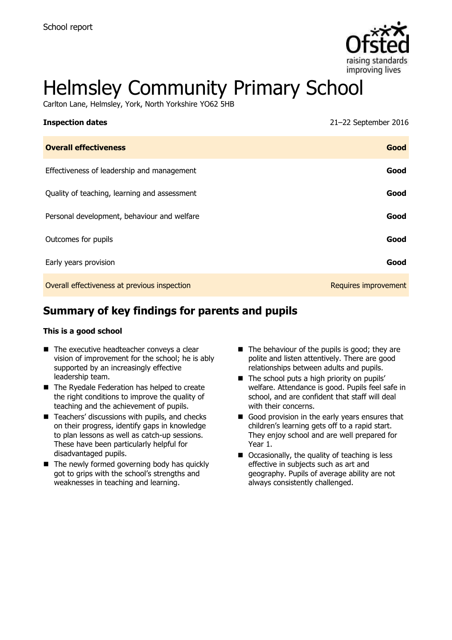

# Helmsley Community Primary School

Carlton Lane, Helmsley, York, North Yorkshire YO62 5HB

| <b>Inspection dates</b>                      | 21-22 September 2016 |
|----------------------------------------------|----------------------|
| <b>Overall effectiveness</b>                 | Good                 |
| Effectiveness of leadership and management   | Good                 |
| Quality of teaching, learning and assessment | Good                 |
| Personal development, behaviour and welfare  | Good                 |
| Outcomes for pupils                          | Good                 |
| Early years provision                        | Good                 |
| Overall effectiveness at previous inspection | Requires improvement |

# **Summary of key findings for parents and pupils**

#### **This is a good school**

- $\blacksquare$  The executive headteacher conveys a clear vision of improvement for the school; he is ably supported by an increasingly effective leadership team.
- The Ryedale Federation has helped to create the right conditions to improve the quality of teaching and the achievement of pupils.
- $\blacksquare$  Teachers' discussions with pupils, and checks on their progress, identify gaps in knowledge to plan lessons as well as catch-up sessions. These have been particularly helpful for disadvantaged pupils.
- $\blacksquare$  The newly formed governing body has quickly got to grips with the school's strengths and weaknesses in teaching and learning.
- $\blacksquare$  The behaviour of the pupils is good; they are polite and listen attentively. There are good relationships between adults and pupils.
- $\blacksquare$  The school puts a high priority on pupils' welfare. Attendance is good. Pupils feel safe in school, and are confident that staff will deal with their concerns.
- Good provision in the early years ensures that children's learning gets off to a rapid start. They enjoy school and are well prepared for Year 1.
- Occasionally, the quality of teaching is less effective in subjects such as art and geography. Pupils of average ability are not always consistently challenged.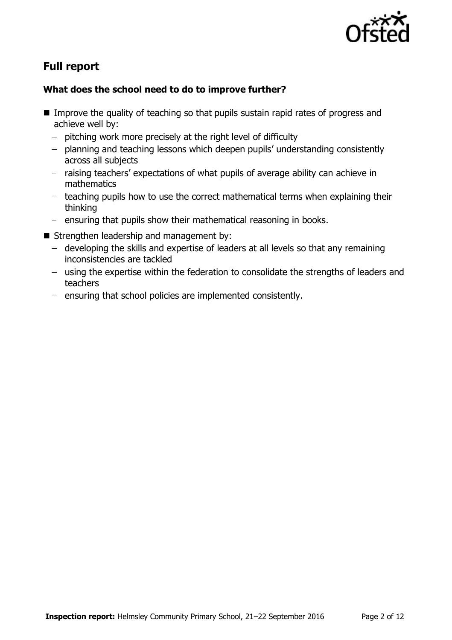

# **Full report**

### **What does the school need to do to improve further?**

- Improve the quality of teaching so that pupils sustain rapid rates of progress and achieve well by:
	- $-$  pitching work more precisely at the right level of difficulty
	- planning and teaching lessons which deepen pupils' understanding consistently across all subjects
	- raising teachers' expectations of what pupils of average ability can achieve in mathematics
	- $-$  teaching pupils how to use the correct mathematical terms when explaining their thinking
	- ensuring that pupils show their mathematical reasoning in books.
- Strengthen leadership and management by:
	- developing the skills and expertise of leaders at all levels so that any remaining inconsistencies are tackled
	- using the expertise within the federation to consolidate the strengths of leaders and teachers
	- ensuring that school policies are implemented consistently.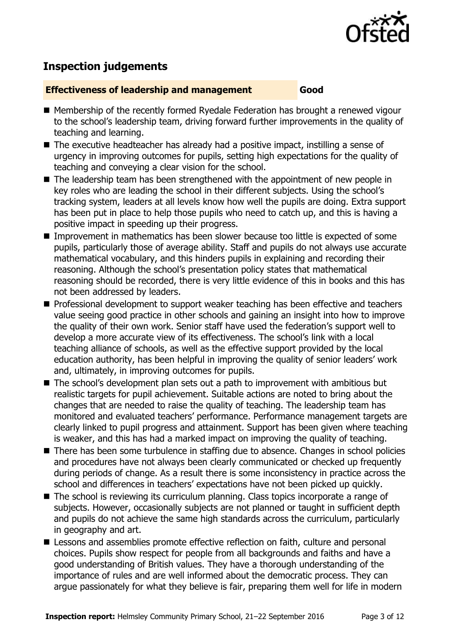

# **Inspection judgements**

#### **Effectiveness of leadership and management Good**

- Membership of the recently formed Ryedale Federation has brought a renewed vigour to the school's leadership team, driving forward further improvements in the quality of teaching and learning.
	- The executive headteacher has already had a positive impact, instilling a sense of urgency in improving outcomes for pupils, setting high expectations for the quality of teaching and conveying a clear vision for the school.
	- The leadership team has been strengthened with the appointment of new people in key roles who are leading the school in their different subjects. Using the school's tracking system, leaders at all levels know how well the pupils are doing. Extra support has been put in place to help those pupils who need to catch up, and this is having a positive impact in speeding up their progress.
	- Improvement in mathematics has been slower because too little is expected of some pupils, particularly those of average ability. Staff and pupils do not always use accurate mathematical vocabulary, and this hinders pupils in explaining and recording their reasoning. Although the school's presentation policy states that mathematical reasoning should be recorded, there is very little evidence of this in books and this has not been addressed by leaders.
	- **Professional development to support weaker teaching has been effective and teachers** value seeing good practice in other schools and gaining an insight into how to improve the quality of their own work. Senior staff have used the federation's support well to develop a more accurate view of its effectiveness. The school's link with a local teaching alliance of schools, as well as the effective support provided by the local education authority, has been helpful in improving the quality of senior leaders' work and, ultimately, in improving outcomes for pupils.
	- The school's development plan sets out a path to improvement with ambitious but realistic targets for pupil achievement. Suitable actions are noted to bring about the changes that are needed to raise the quality of teaching. The leadership team has monitored and evaluated teachers' performance. Performance management targets are clearly linked to pupil progress and attainment. Support has been given where teaching is weaker, and this has had a marked impact on improving the quality of teaching.
	- There has been some turbulence in staffing due to absence. Changes in school policies and procedures have not always been clearly communicated or checked up frequently during periods of change. As a result there is some inconsistency in practice across the school and differences in teachers' expectations have not been picked up quickly.
	- The school is reviewing its curriculum planning. Class topics incorporate a range of subjects. However, occasionally subjects are not planned or taught in sufficient depth and pupils do not achieve the same high standards across the curriculum, particularly in geography and art.
	- **E** Lessons and assemblies promote effective reflection on faith, culture and personal choices. Pupils show respect for people from all backgrounds and faiths and have a good understanding of British values. They have a thorough understanding of the importance of rules and are well informed about the democratic process. They can argue passionately for what they believe is fair, preparing them well for life in modern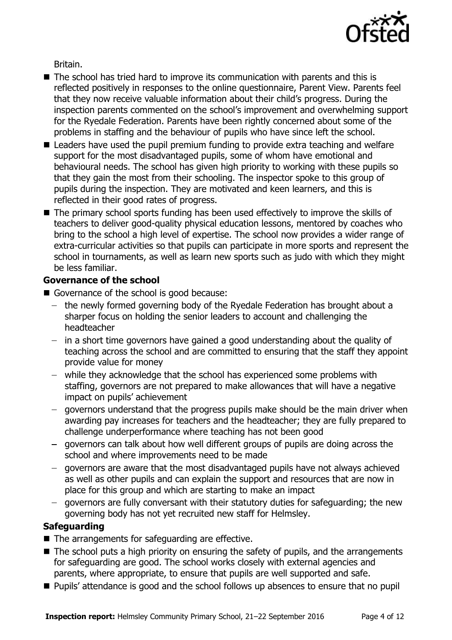

Britain.

- The school has tried hard to improve its communication with parents and this is reflected positively in responses to the online questionnaire, Parent View. Parents feel that they now receive valuable information about their child's progress. During the inspection parents commented on the school's improvement and overwhelming support for the Ryedale Federation. Parents have been rightly concerned about some of the problems in staffing and the behaviour of pupils who have since left the school.
- Leaders have used the pupil premium funding to provide extra teaching and welfare support for the most disadvantaged pupils, some of whom have emotional and behavioural needs. The school has given high priority to working with these pupils so that they gain the most from their schooling. The inspector spoke to this group of pupils during the inspection. They are motivated and keen learners, and this is reflected in their good rates of progress.
- The primary school sports funding has been used effectively to improve the skills of teachers to deliver good-quality physical education lessons, mentored by coaches who bring to the school a high level of expertise. The school now provides a wider range of extra-curricular activities so that pupils can participate in more sports and represent the school in tournaments, as well as learn new sports such as judo with which they might be less familiar.

#### **Governance of the school**

- Governance of the school is good because:
	- the newly formed governing body of the Ryedale Federation has brought about a sharper focus on holding the senior leaders to account and challenging the headteacher
	- in a short time governors have gained a good understanding about the quality of teaching across the school and are committed to ensuring that the staff they appoint provide value for money
	- while they acknowledge that the school has experienced some problems with staffing, governors are not prepared to make allowances that will have a negative impact on pupils' achievement
	- governors understand that the progress pupils make should be the main driver when awarding pay increases for teachers and the headteacher; they are fully prepared to challenge underperformance where teaching has not been good
	- governors can talk about how well different groups of pupils are doing across the school and where improvements need to be made
	- $-$  governors are aware that the most disadvantaged pupils have not always achieved as well as other pupils and can explain the support and resources that are now in place for this group and which are starting to make an impact
	- governors are fully conversant with their statutory duties for safeguarding; the new governing body has not yet recruited new staff for Helmsley.

### **Safeguarding**

- The arrangements for safeguarding are effective.
- The school puts a high priority on ensuring the safety of pupils, and the arrangements for safeguarding are good. The school works closely with external agencies and parents, where appropriate, to ensure that pupils are well supported and safe.
- **Pupils'** attendance is good and the school follows up absences to ensure that no pupil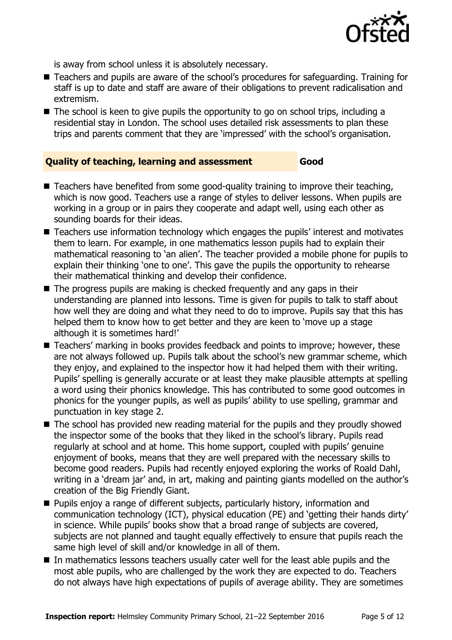

is away from school unless it is absolutely necessary.

- Teachers and pupils are aware of the school's procedures for safeguarding. Training for staff is up to date and staff are aware of their obligations to prevent radicalisation and extremism.
- The school is keen to give pupils the opportunity to go on school trips, including a residential stay in London. The school uses detailed risk assessments to plan these trips and parents comment that they are 'impressed' with the school's organisation.

#### **Quality of teaching, learning and assessment Good**

- $\blacksquare$  Teachers have benefited from some good-quality training to improve their teaching, which is now good. Teachers use a range of styles to deliver lessons. When pupils are working in a group or in pairs they cooperate and adapt well, using each other as sounding boards for their ideas.
- Teachers use information technology which engages the pupils' interest and motivates them to learn. For example, in one mathematics lesson pupils had to explain their mathematical reasoning to 'an alien'. The teacher provided a mobile phone for pupils to explain their thinking 'one to one'. This gave the pupils the opportunity to rehearse their mathematical thinking and develop their confidence.
- The progress pupils are making is checked frequently and any gaps in their understanding are planned into lessons. Time is given for pupils to talk to staff about how well they are doing and what they need to do to improve. Pupils say that this has helped them to know how to get better and they are keen to 'move up a stage although it is sometimes hard!'
- Teachers' marking in books provides feedback and points to improve; however, these are not always followed up. Pupils talk about the school's new grammar scheme, which they enjoy, and explained to the inspector how it had helped them with their writing. Pupils' spelling is generally accurate or at least they make plausible attempts at spelling a word using their phonics knowledge. This has contributed to some good outcomes in phonics for the younger pupils, as well as pupils' ability to use spelling, grammar and punctuation in key stage 2.
- The school has provided new reading material for the pupils and they proudly showed the inspector some of the books that they liked in the school's library. Pupils read regularly at school and at home. This home support, coupled with pupils' genuine enjoyment of books, means that they are well prepared with the necessary skills to become good readers. Pupils had recently enjoyed exploring the works of Roald Dahl, writing in a 'dream jar' and, in art, making and painting giants modelled on the author's creation of the Big Friendly Giant.
- **Pupils enjoy a range of different subjects, particularly history, information and** communication technology (ICT), physical education (PE) and 'getting their hands dirty' in science. While pupils' books show that a broad range of subjects are covered, subjects are not planned and taught equally effectively to ensure that pupils reach the same high level of skill and/or knowledge in all of them.
- In mathematics lessons teachers usually cater well for the least able pupils and the most able pupils, who are challenged by the work they are expected to do. Teachers do not always have high expectations of pupils of average ability. They are sometimes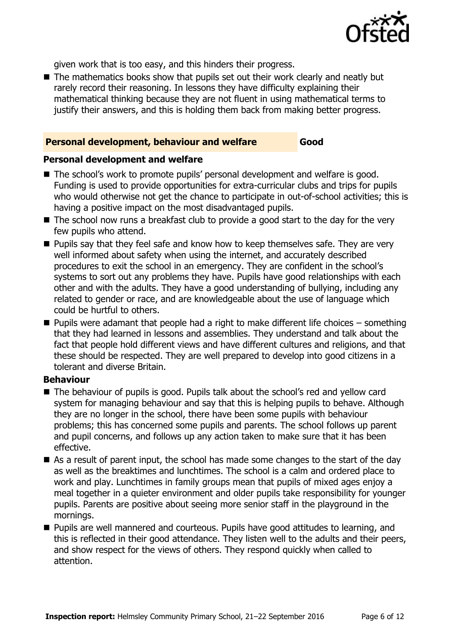

given work that is too easy, and this hinders their progress.

The mathematics books show that pupils set out their work clearly and neatly but rarely record their reasoning. In lessons they have difficulty explaining their mathematical thinking because they are not fluent in using mathematical terms to justify their answers, and this is holding them back from making better progress.

#### **Personal development, behaviour and welfare Good**

#### **Personal development and welfare**

- The school's work to promote pupils' personal development and welfare is good. Funding is used to provide opportunities for extra-curricular clubs and trips for pupils who would otherwise not get the chance to participate in out-of-school activities; this is having a positive impact on the most disadvantaged pupils.
- The school now runs a breakfast club to provide a good start to the day for the very few pupils who attend.
- **Pupils say that they feel safe and know how to keep themselves safe. They are very** well informed about safety when using the internet, and accurately described procedures to exit the school in an emergency. They are confident in the school's systems to sort out any problems they have. Pupils have good relationships with each other and with the adults. They have a good understanding of bullying, including any related to gender or race, and are knowledgeable about the use of language which could be hurtful to others.
- $\blacksquare$  Pupils were adamant that people had a right to make different life choices something that they had learned in lessons and assemblies. They understand and talk about the fact that people hold different views and have different cultures and religions, and that these should be respected. They are well prepared to develop into good citizens in a tolerant and diverse Britain.

#### **Behaviour**

- The behaviour of pupils is good. Pupils talk about the school's red and yellow card system for managing behaviour and say that this is helping pupils to behave. Although they are no longer in the school, there have been some pupils with behaviour problems; this has concerned some pupils and parents. The school follows up parent and pupil concerns, and follows up any action taken to make sure that it has been effective.
- As a result of parent input, the school has made some changes to the start of the day as well as the breaktimes and lunchtimes. The school is a calm and ordered place to work and play. Lunchtimes in family groups mean that pupils of mixed ages enjoy a meal together in a quieter environment and older pupils take responsibility for younger pupils. Parents are positive about seeing more senior staff in the playground in the mornings.
- **Pupils are well mannered and courteous. Pupils have good attitudes to learning, and** this is reflected in their good attendance. They listen well to the adults and their peers, and show respect for the views of others. They respond quickly when called to attention.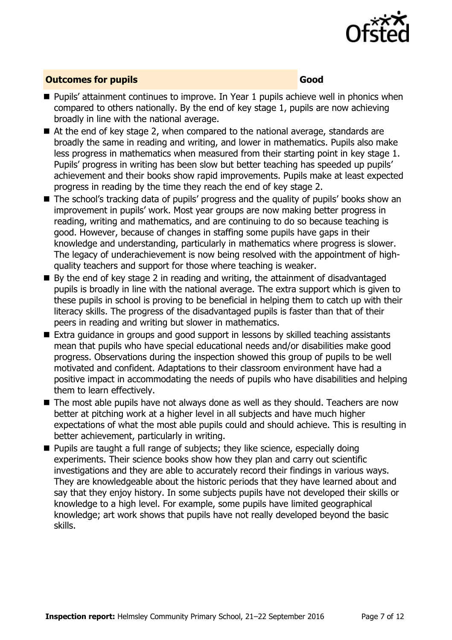

#### **Outcomes for pupils Good**

- **Pupils' attainment continues to improve. In Year 1 pupils achieve well in phonics when** compared to others nationally. By the end of key stage 1, pupils are now achieving broadly in line with the national average.
- At the end of key stage 2, when compared to the national average, standards are broadly the same in reading and writing, and lower in mathematics. Pupils also make less progress in mathematics when measured from their starting point in key stage 1. Pupils' progress in writing has been slow but better teaching has speeded up pupils' achievement and their books show rapid improvements. Pupils make at least expected progress in reading by the time they reach the end of key stage 2.
- The school's tracking data of pupils' progress and the quality of pupils' books show an improvement in pupils' work. Most year groups are now making better progress in reading, writing and mathematics, and are continuing to do so because teaching is good. However, because of changes in staffing some pupils have gaps in their knowledge and understanding, particularly in mathematics where progress is slower. The legacy of underachievement is now being resolved with the appointment of highquality teachers and support for those where teaching is weaker.
- $\blacksquare$  By the end of key stage 2 in reading and writing, the attainment of disadvantaged pupils is broadly in line with the national average. The extra support which is given to these pupils in school is proving to be beneficial in helping them to catch up with their literacy skills. The progress of the disadvantaged pupils is faster than that of their peers in reading and writing but slower in mathematics.
- Extra guidance in groups and good support in lessons by skilled teaching assistants mean that pupils who have special educational needs and/or disabilities make good progress. Observations during the inspection showed this group of pupils to be well motivated and confident. Adaptations to their classroom environment have had a positive impact in accommodating the needs of pupils who have disabilities and helping them to learn effectively.
- The most able pupils have not always done as well as they should. Teachers are now better at pitching work at a higher level in all subjects and have much higher expectations of what the most able pupils could and should achieve. This is resulting in better achievement, particularly in writing.
- **Pupils are taught a full range of subjects; they like science, especially doing** experiments. Their science books show how they plan and carry out scientific investigations and they are able to accurately record their findings in various ways. They are knowledgeable about the historic periods that they have learned about and say that they enjoy history. In some subjects pupils have not developed their skills or knowledge to a high level. For example, some pupils have limited geographical knowledge; art work shows that pupils have not really developed beyond the basic skills.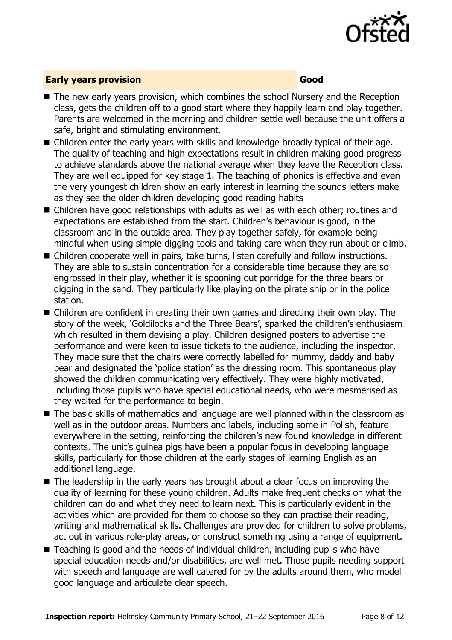

#### **Early years provision Good**

- The new early years provision, which combines the school Nursery and the Reception class, gets the children off to a good start where they happily learn and play together. Parents are welcomed in the morning and children settle well because the unit offers a safe, bright and stimulating environment.
- Children enter the early years with skills and knowledge broadly typical of their age. The quality of teaching and high expectations result in children making good progress to achieve standards above the national average when they leave the Reception class. They are well equipped for key stage 1. The teaching of phonics is effective and even the very youngest children show an early interest in learning the sounds letters make as they see the older children developing good reading habits
- Children have good relationships with adults as well as with each other; routines and expectations are established from the start. Children's behaviour is good, in the classroom and in the outside area. They play together safely, for example being mindful when using simple digging tools and taking care when they run about or climb.
- Children cooperate well in pairs, take turns, listen carefully and follow instructions. They are able to sustain concentration for a considerable time because they are so engrossed in their play, whether it is spooning out porridge for the three bears or digging in the sand. They particularly like playing on the pirate ship or in the police station.
- Children are confident in creating their own games and directing their own play. The story of the week, 'Goldilocks and the Three Bears', sparked the children's enthusiasm which resulted in them devising a play. Children designed posters to advertise the performance and were keen to issue tickets to the audience, including the inspector. They made sure that the chairs were correctly labelled for mummy, daddy and baby bear and designated the 'police station' as the dressing room. This spontaneous play showed the children communicating very effectively. They were highly motivated, including those pupils who have special educational needs, who were mesmerised as they waited for the performance to begin.
- The basic skills of mathematics and language are well planned within the classroom as well as in the outdoor areas. Numbers and labels, including some in Polish, feature everywhere in the setting, reinforcing the children's new-found knowledge in different contexts. The unit's guinea pigs have been a popular focus in developing language skills, particularly for those children at the early stages of learning English as an additional language.
- The leadership in the early years has brought about a clear focus on improving the quality of learning for these young children. Adults make frequent checks on what the children can do and what they need to learn next. This is particularly evident in the activities which are provided for them to choose so they can practise their reading, writing and mathematical skills. Challenges are provided for children to solve problems, act out in various role-play areas, or construct something using a range of equipment.
- Teaching is good and the needs of individual children, including pupils who have special education needs and/or disabilities, are well met. Those pupils needing support with speech and language are well catered for by the adults around them, who model good language and articulate clear speech.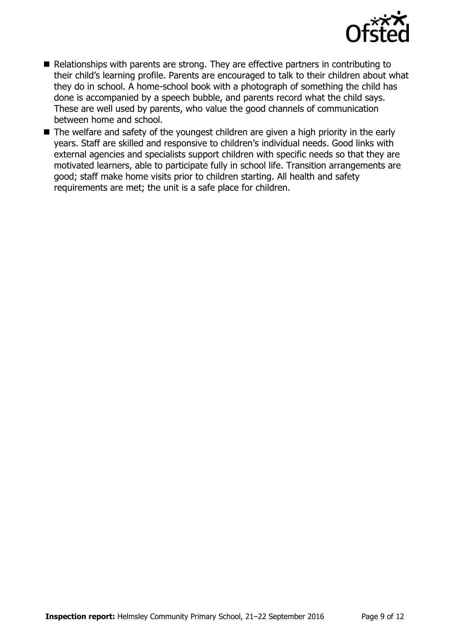

- Relationships with parents are strong. They are effective partners in contributing to their child's learning profile. Parents are encouraged to talk to their children about what they do in school. A home-school book with a photograph of something the child has done is accompanied by a speech bubble, and parents record what the child says. These are well used by parents, who value the good channels of communication between home and school.
- The welfare and safety of the youngest children are given a high priority in the early years. Staff are skilled and responsive to children's individual needs. Good links with external agencies and specialists support children with specific needs so that they are motivated learners, able to participate fully in school life. Transition arrangements are good; staff make home visits prior to children starting. All health and safety requirements are met; the unit is a safe place for children.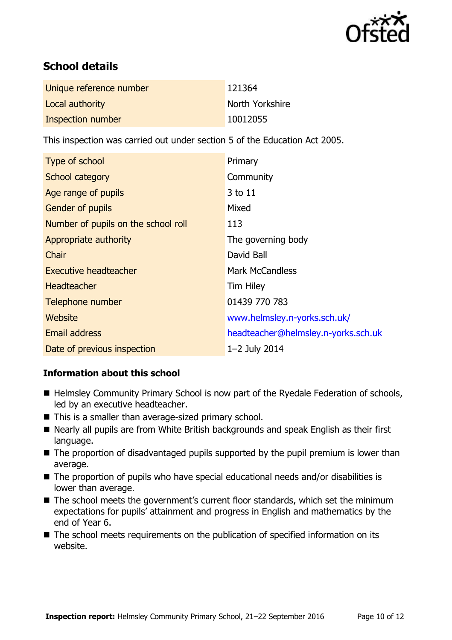

# **School details**

| Unique reference number | 121364          |
|-------------------------|-----------------|
| Local authority         | North Yorkshire |
| Inspection number       | 10012055        |

This inspection was carried out under section 5 of the Education Act 2005.

| Type of school                      | Primary                             |
|-------------------------------------|-------------------------------------|
| School category                     | Community                           |
| Age range of pupils                 | 3 to 11                             |
| Gender of pupils                    | Mixed                               |
| Number of pupils on the school roll | 113                                 |
| Appropriate authority               | The governing body                  |
| Chair                               | David Ball                          |
| <b>Executive headteacher</b>        | <b>Mark McCandless</b>              |
| <b>Headteacher</b>                  | <b>Tim Hiley</b>                    |
| Telephone number                    | 01439 770 783                       |
| Website                             | www.helmsley.n-yorks.sch.uk/        |
| <b>Email address</b>                | headteacher@helmsley.n-yorks.sch.uk |
| Date of previous inspection         | $1 - 2$ July 2014                   |

#### **Information about this school**

- Helmsley Community Primary School is now part of the Ryedale Federation of schools, led by an executive headteacher.
- This is a smaller than average-sized primary school.
- Nearly all pupils are from White British backgrounds and speak English as their first language.
- The proportion of disadvantaged pupils supported by the pupil premium is lower than average.
- The proportion of pupils who have special educational needs and/or disabilities is lower than average.
- The school meets the government's current floor standards, which set the minimum expectations for pupils' attainment and progress in English and mathematics by the end of Year 6.
- The school meets requirements on the publication of specified information on its website.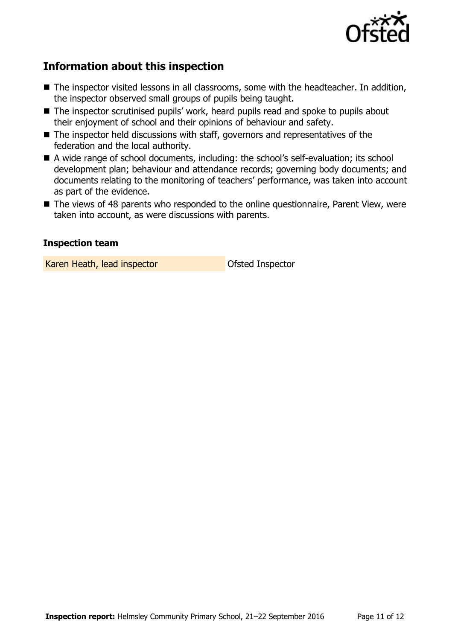

## **Information about this inspection**

- The inspector visited lessons in all classrooms, some with the headteacher. In addition, the inspector observed small groups of pupils being taught.
- The inspector scrutinised pupils' work, heard pupils read and spoke to pupils about their enjoyment of school and their opinions of behaviour and safety.
- The inspector held discussions with staff, governors and representatives of the federation and the local authority.
- A wide range of school documents, including: the school's self-evaluation; its school development plan; behaviour and attendance records; governing body documents; and documents relating to the monitoring of teachers' performance, was taken into account as part of the evidence.
- The views of 48 parents who responded to the online questionnaire, Parent View, were taken into account, as were discussions with parents.

#### **Inspection team**

Karen Heath, lead inspector **Careford Inspector** Ofsted Inspector